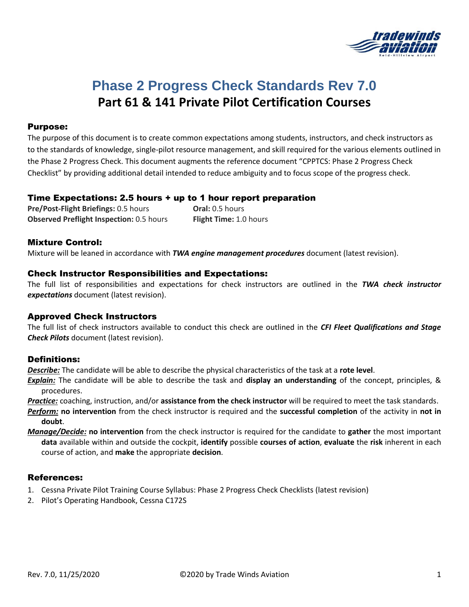

# **Phase 2 Progress Check Standards Rev 7.0 Part 61 & 141 Private Pilot Certification Courses**

### Purpose:

The purpose of this document is to create common expectations among students, instructors, and check instructors as to the standards of knowledge, single-pilot resource management, and skill required for the various elements outlined in the Phase 2 Progress Check. This document augments the reference document "CPPTCS: Phase 2 Progress Check Checklist" by providing additional detail intended to reduce ambiguity and to focus scope of the progress check.

#### Time Expectations: 2.5 hours + up to 1 hour report preparation

**Pre/Post-Flight Briefings:** 0.5 hours **Oral:** 0.5 hours **Observed Preflight Inspection:** 0.5 hours **Flight Time:** 1.0 hours

#### Mixture Control:

Mixture will be leaned in accordance with *TWA engine management procedures* document (latest revision).

### Check Instructor Responsibilities and Expectations:

The full list of responsibilities and expectations for check instructors are outlined in the *TWA check instructor expectations* document (latest revision).

#### Approved Check Instructors

The full list of check instructors available to conduct this check are outlined in the *CFI Fleet Qualifications and Stage Check Pilots* document (latest revision).

### Definitions:

*Describe:* The candidate will be able to describe the physical characteristics of the task at a **rote level**.

*Explain:* The candidate will be able to describe the task and **display an understanding** of the concept, principles, & procedures.

*Practice:* coaching, instruction, and/or **assistance from the check instructor** will be required to meet the task standards.

- *Perform:* **no intervention** from the check instructor is required and the **successful completion** of the activity in **not in doubt**.
- *Manage/Decide:* **no intervention** from the check instructor is required for the candidate to **gather** the most important **data** available within and outside the cockpit, **identify** possible **courses of action**, **evaluate** the **risk** inherent in each course of action, and **make** the appropriate **decision**.

### References:

- 1. Cessna Private Pilot Training Course Syllabus: Phase 2 Progress Check Checklists (latest revision)
- 2. Pilot's Operating Handbook, Cessna C172S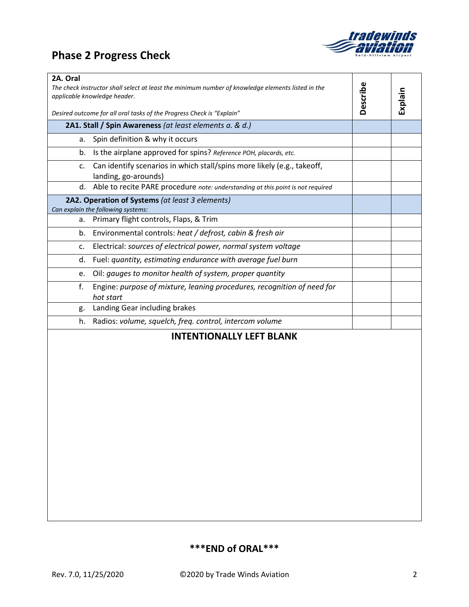## **Phase 2 Progress Check**



| 2A. Oral<br>The check instructor shall select at least the minimum number of knowledge elements listed in the<br>applicable knowledge header. | Describe | Explain |
|-----------------------------------------------------------------------------------------------------------------------------------------------|----------|---------|
| Desired outcome for all oral tasks of the Progress Check is "Explain"                                                                         |          |         |
| 2A1. Stall / Spin Awareness (at least elements a. & d.)                                                                                       |          |         |
| Spin definition & why it occurs<br>a.                                                                                                         |          |         |
| Is the airplane approved for spins? Reference POH, placards, etc.<br>b.                                                                       |          |         |
| Can identify scenarios in which stall/spins more likely (e.g., takeoff,<br>c.<br>landing, go-arounds)                                         |          |         |
| d. Able to recite PARE procedure note: understanding at this point is not required                                                            |          |         |
| 2A2. Operation of Systems (at least 3 elements)<br>Can explain the following systems:                                                         |          |         |
| Primary flight controls, Flaps, & Trim<br>a.                                                                                                  |          |         |
| Environmental controls: heat / defrost, cabin & fresh air<br>b.                                                                               |          |         |
| Electrical: sources of electrical power, normal system voltage<br>c.                                                                          |          |         |
| Fuel: quantity, estimating endurance with average fuel burn<br>d.                                                                             |          |         |
| Oil: gauges to monitor health of system, proper quantity<br>e.                                                                                |          |         |
| Engine: purpose of mixture, leaning procedures, recognition of need for<br>f.<br>hot start                                                    |          |         |
| Landing Gear including brakes<br>g.                                                                                                           |          |         |
| Radios: volume, squelch, freq. control, intercom volume<br>h.                                                                                 |          |         |
| <b>INTENTIONALLY LEFT BLANK</b>                                                                                                               |          |         |

### **\*\*\*END of ORAL\*\*\***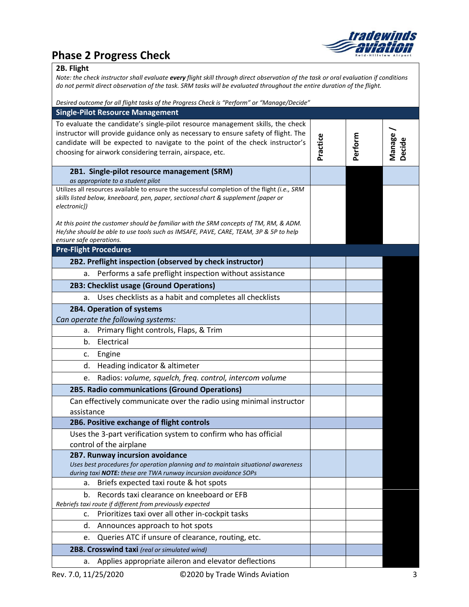

### **Phase 2 Progress Check**

### **2B. Flight**

*Note: the check instructor shall evaluate every flight skill through direct observation of the task or oral evaluation if conditions do not permit direct observation of the task. SRM tasks will be evaluated throughout the entire duration of the flight.*

| Desired outcome for all flight tasks of the Progress Check is "Perform" or "Manage/Decide"                                                                                                                                                                                                                        |          |         |                  |
|-------------------------------------------------------------------------------------------------------------------------------------------------------------------------------------------------------------------------------------------------------------------------------------------------------------------|----------|---------|------------------|
| <b>Single-Pilot Resource Management</b>                                                                                                                                                                                                                                                                           |          |         |                  |
| To evaluate the candidate's single-pilot resource management skills, the check<br>instructor will provide guidance only as necessary to ensure safety of flight. The<br>candidate will be expected to navigate to the point of the check instructor's<br>choosing for airwork considering terrain, airspace, etc. | Practice | Perform | Manage<br>Decide |
| 2B1. Single-pilot resource management (SRM)                                                                                                                                                                                                                                                                       |          |         |                  |
| as appropriate to a student pilot                                                                                                                                                                                                                                                                                 |          |         |                  |
| Utilizes all resources available to ensure the successful completion of the flight (i.e., SRM<br>skills listed below, kneeboard, pen, paper, sectional chart & supplement [paper or<br>electronic])                                                                                                               |          |         |                  |
| At this point the customer should be familiar with the SRM concepts of TM, RM, & ADM.<br>He/she should be able to use tools such as IMSAFE, PAVE, CARE, TEAM, 3P & 5P to help<br>ensure safe operations.                                                                                                          |          |         |                  |
| <b>Pre-Flight Procedures</b>                                                                                                                                                                                                                                                                                      |          |         |                  |
| 2B2. Preflight inspection (observed by check instructor)                                                                                                                                                                                                                                                          |          |         |                  |
| Performs a safe preflight inspection without assistance<br>a.                                                                                                                                                                                                                                                     |          |         |                  |
| 2B3: Checklist usage (Ground Operations)                                                                                                                                                                                                                                                                          |          |         |                  |
| Uses checklists as a habit and completes all checklists<br>a.                                                                                                                                                                                                                                                     |          |         |                  |
| 2B4. Operation of systems                                                                                                                                                                                                                                                                                         |          |         |                  |
| Can operate the following systems:                                                                                                                                                                                                                                                                                |          |         |                  |
| Primary flight controls, Flaps, & Trim<br>a.                                                                                                                                                                                                                                                                      |          |         |                  |
| Electrical<br>b.                                                                                                                                                                                                                                                                                                  |          |         |                  |
| Engine<br>c.                                                                                                                                                                                                                                                                                                      |          |         |                  |
| Heading indicator & altimeter<br>d.                                                                                                                                                                                                                                                                               |          |         |                  |
| Radios: volume, squelch, freq. control, intercom volume<br>e.                                                                                                                                                                                                                                                     |          |         |                  |
| 2B5. Radio communications (Ground Operations)                                                                                                                                                                                                                                                                     |          |         |                  |
| Can effectively communicate over the radio using minimal instructor                                                                                                                                                                                                                                               |          |         |                  |
| assistance                                                                                                                                                                                                                                                                                                        |          |         |                  |
| 2B6. Positive exchange of flight controls                                                                                                                                                                                                                                                                         |          |         |                  |
| Uses the 3-part verification system to confirm who has official<br>control of the airplane                                                                                                                                                                                                                        |          |         |                  |
| 2B7. Runway incursion avoidance                                                                                                                                                                                                                                                                                   |          |         |                  |
| Uses best procedures for operation planning and to maintain situational awareness<br>during taxi NOTE: these are TWA runway incursion avoidance SOPs                                                                                                                                                              |          |         |                  |
| Briefs expected taxi route & hot spots<br>а.                                                                                                                                                                                                                                                                      |          |         |                  |
| Records taxi clearance on kneeboard or EFB<br>b.                                                                                                                                                                                                                                                                  |          |         |                  |
| Rebriefs taxi route if different from previously expected                                                                                                                                                                                                                                                         |          |         |                  |
| Prioritizes taxi over all other in-cockpit tasks<br>c.                                                                                                                                                                                                                                                            |          |         |                  |
| Announces approach to hot spots<br>d.                                                                                                                                                                                                                                                                             |          |         |                  |
| Queries ATC if unsure of clearance, routing, etc.<br>e.                                                                                                                                                                                                                                                           |          |         |                  |
| 2B8. Crosswind taxi (real or simulated wind)                                                                                                                                                                                                                                                                      |          |         |                  |
| Applies appropriate aileron and elevator deflections<br>а.                                                                                                                                                                                                                                                        |          |         |                  |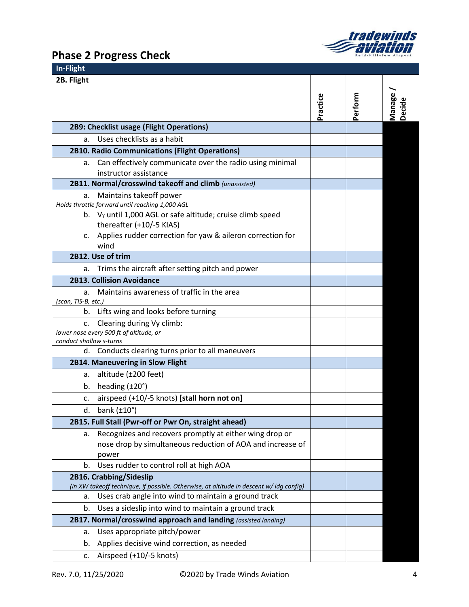

## **Phase 2 Progress Check**

| In-Flight                                                                               |          |         |                  |
|-----------------------------------------------------------------------------------------|----------|---------|------------------|
| 2B. Flight                                                                              |          |         |                  |
|                                                                                         |          |         |                  |
|                                                                                         | Practice | Perform | Manage<br>Decide |
|                                                                                         |          |         |                  |
| 2B9: Checklist usage (Flight Operations)                                                |          |         |                  |
| a. Uses checklists as a habit                                                           |          |         |                  |
| <b>2B10. Radio Communications (Flight Operations)</b>                                   |          |         |                  |
| a. Can effectively communicate over the radio using minimal                             |          |         |                  |
| instructor assistance                                                                   |          |         |                  |
| 2B11. Normal/crosswind takeoff and climb (unassisted)                                   |          |         |                  |
| a. Maintains takeoff power                                                              |          |         |                  |
| Holds throttle forward until reaching 1,000 AGL                                         |          |         |                  |
| b. V <sub>y</sub> until 1,000 AGL or safe altitude; cruise climb speed                  |          |         |                  |
| thereafter (+10/-5 KIAS)                                                                |          |         |                  |
| c. Applies rudder correction for yaw & aileron correction for                           |          |         |                  |
| wind                                                                                    |          |         |                  |
| 2B12. Use of trim                                                                       |          |         |                  |
| Trims the aircraft after setting pitch and power<br>a.                                  |          |         |                  |
| <b>2B13. Collision Avoidance</b>                                                        |          |         |                  |
| a. Maintains awareness of traffic in the area                                           |          |         |                  |
| (scan, TIS-B, etc.)<br>b. Lifts wing and looks before turning                           |          |         |                  |
| Clearing during Vy climb:<br>C.                                                         |          |         |                  |
| lower nose every 500 ft of altitude, or                                                 |          |         |                  |
| conduct shallow s-turns                                                                 |          |         |                  |
| d. Conducts clearing turns prior to all maneuvers                                       |          |         |                  |
| 2B14. Maneuvering in Slow Flight                                                        |          |         |                  |
| a. altitude $(\pm 200$ feet)                                                            |          |         |                  |
| b. heading $(\pm 20^\circ)$                                                             |          |         |                  |
| c. airspeed (+10/-5 knots) [stall horn not on]                                          |          |         |                  |
| d. bank $(\pm 10^{\circ})$                                                              |          |         |                  |
| 2B15. Full Stall (Pwr-off or Pwr On, straight ahead)                                    |          |         |                  |
| a. Recognizes and recovers promptly at either wing drop or                              |          |         |                  |
| nose drop by simultaneous reduction of AOA and increase of                              |          |         |                  |
| power                                                                                   |          |         |                  |
| b. Uses rudder to control roll at high AOA                                              |          |         |                  |
| 2B16. Crabbing/Sideslip                                                                 |          |         |                  |
| (in XW takeoff technique, if possible. Otherwise, at altitude in descent w/ ldg config) |          |         |                  |
| a. Uses crab angle into wind to maintain a ground track                                 |          |         |                  |
| b. Uses a sideslip into wind to maintain a ground track                                 |          |         |                  |
| 2B17. Normal/crosswind approach and landing (assisted landing)                          |          |         |                  |
| Uses appropriate pitch/power<br>а.                                                      |          |         |                  |
| Applies decisive wind correction, as needed<br>b.                                       |          |         |                  |
| c. Airspeed (+10/-5 knots)                                                              |          |         |                  |